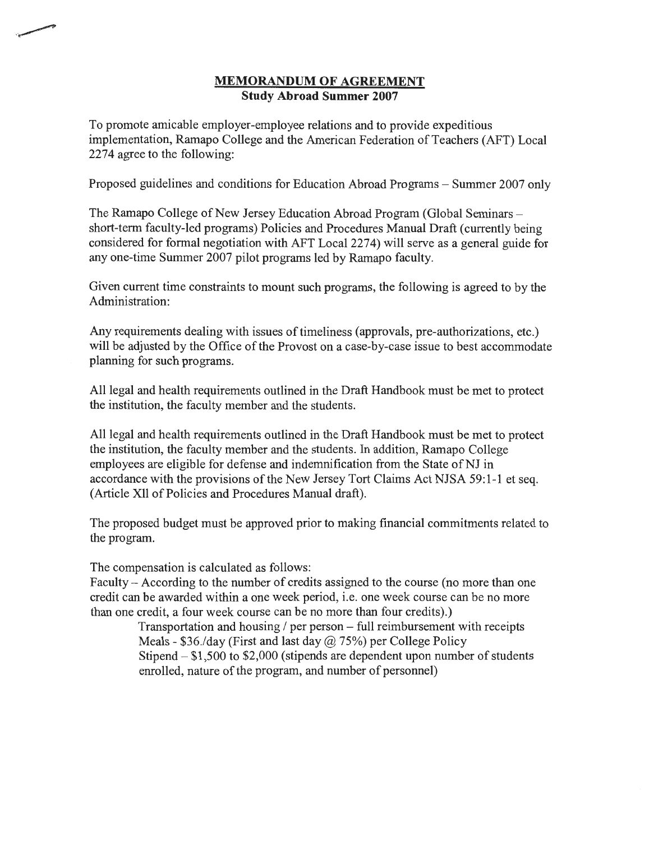## **MEMORANDUM OF AGREEMENT Study Abroad Summer 2007**

To promote amicable employer-employee relations and to provide expeditious implementation, Ramapo College and the American Federation of Teachers (AFT) Local 2274 agree to the following:

Proposed guidelines and conditions for Education Abroad Programs- Summer 2007 only

The Ramapo College of New Jersey Education Abroad Program (Global Seminarsshort-term faculty-led programs) Policies and Procedures Manual Draft (currently being considered for formal negotiation with AFT Local2274) will serve as a general guide for any one-time Summer 2007 pilot programs led by Ramapo faculty.

Given current time constraints to mount such programs, the following is agreed to by the Administration:

Any requirements dealing with issues of timeliness (approvals, pre-authorizations, etc.) will be adjusted by the Office of the Provost on a case-by-case issue to best accommodate planning for such programs.

All legal and health requirements outlined in the Draft Handbook must be met to protect the institution, the faculty member and the students.

All legal and health requirements outlined in the Draft Handbook must be met to protect the institution, the faculty member and the students. In addition, Ramapo College employees are eligible for defense and indemnification from the State of NJ in accordance with the provisions of the New Jersey Tort Claims Act NJSA 59:1-1 et seq. (Article XU of Policies and Procedures Manual draft).

The proposed budget must be approved prior to making financial commitments related to the program.

The compensation is calculated as follows:

Faculty - According to the number of credits assigned to the course (no more than one credit can be awarded within a one week period, i.e. one week course can be no more than one credit, a four week course can be no more than four credits).)

Transportation and housing  $/$  per person  $-$  full reimbursement with receipts Meals - \$36./day (First and last day @ 75%) per College Policy Stipend  $- $1,500$  to  $$2,000$  (stipends are dependent upon number of students enrolled, nature of the program, and number of personnel)